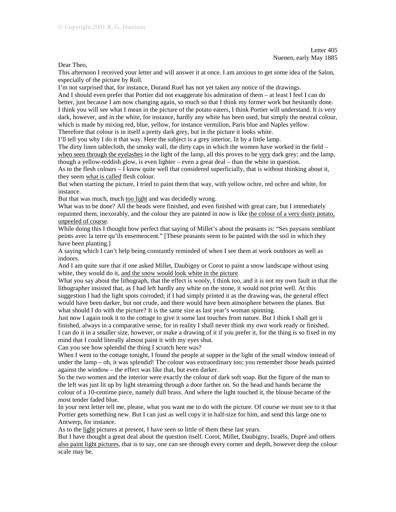Dear Theo,

This afternoon I received your letter and will answer it at once. I am anxious to get some idea of the Salon, especially of the picture by Roll.

I'm not surprised that, for instance, Durand Ruel has not yet taken any notice of the drawings.

And I should even prefer that Portier did not exaggerate his admiration of them – at least I feel I can do better, just because I am now changing again, so much so that I think my former work but hesitantly done. I think you will see what I mean in the picture of the potato eaters, I think Portier will understand. It is very dark, however, and in the white, for instance, hardly any white has been used, but simply the neutral colour, which is made by mixing red, blue, yellow, for instance vermilion, Paris blue and Naples yellow.

Therefore that colour is in itself a pretty dark grey, but in the picture it looks white.

I'll tell you why I do it that way. Here the subject is a grey interior, lit by a little lamp.

The dirty linen tablecloth, the smoky wall, the dirty caps in which the women have worked in the field – when seen through the eyelashes in the light of the lamp, all this proves to be very dark grey; and the lamp, though a yellow-reddish glow, is even lighter – even a great deal – than the white in question.

As to the flesh colours – I know quite well that considered superficially, that is without thinking about it, they seem what is called flesh colour.

But when starting the picture, I tried to paint them that way, with yellow ochre, red ochre and white, for instance.

But that was much, much too light and was decidedly wrong.

What was to be done? All the heads were finished, and even finished with great care, but I immediately repainted them, inexorably, and the colour they are painted in now is like the colour of a very dusty potato, unpeeled of course.

While doing this I thought how perfect that saying of Millet's about the peasants is: "Ses paysans semblant peints avec la terre qu'ils ensemencent." [These peasants seem to be painted with the soil in which they have been planting.]

A saying which I can't help being constantly reminded of when I see them at work outdoors as well as indoors.

And I am quite sure that if one asked Millet, Daubigny or Corot to paint a snow landscape without using white, they would do it, and the snow would look white in the picture.

What you say about the lithograph, that the effect is wooly, I think too, and it is not my own fault in that the lithographer insisted that, as I had left hardly any white on the stone, it would not print well. At this suggestion I had the light spots corroded; if I had simply printed it as the drawing was, the general effect would have been darker, but not crude, and there would have been atmosphere between the planes. But what should I do with the picture? It is the same size as last year's woman spinning.

Just now I again took it to the cottage to give it some last touches from nature. But I think I shall get it finished, always in a comparative sense, for in reality I shall never think my own work ready or finished. I can do it in a smaller size, however, or make a drawing of it if you prefer it, for the thing is so fixed in my mind that I could literally almost paint it with my eyes shut.

Can you see how splendid the thing I scratch here was?

When I went to the cottage tonight, I found the people at supper in the light of the small window instead of under the lamp – oh, it was splendid! The colour was extraordinary too; you remember those heads painted against the window – the effect was like that, but even darker.

So the two women and the interior were exactly the colour of dark soft soap. But the figure of the man to the left was just lit up by light streaming through a door farther on. So the head and hands became the colour of a 10-centime piece, namely dull brass. And where the light touched it, the blouse became of the most tender faded blue.

In your next letter tell me, please, what you want me to do with the picture. Of course we must see to it that Portier gets something new. But I can just as well copy it in half-size for him, and send this large one to Antwerp, for instance.

As to the light pictures at present, I have seen so little of them these last years.

But I have thought a great deal about the question itself. Corot, Millet, Daubigny, Israëls, Dupré and others also paint light pictures, that is to say, one can see through every corner and depth, however deep the colour scale may be.